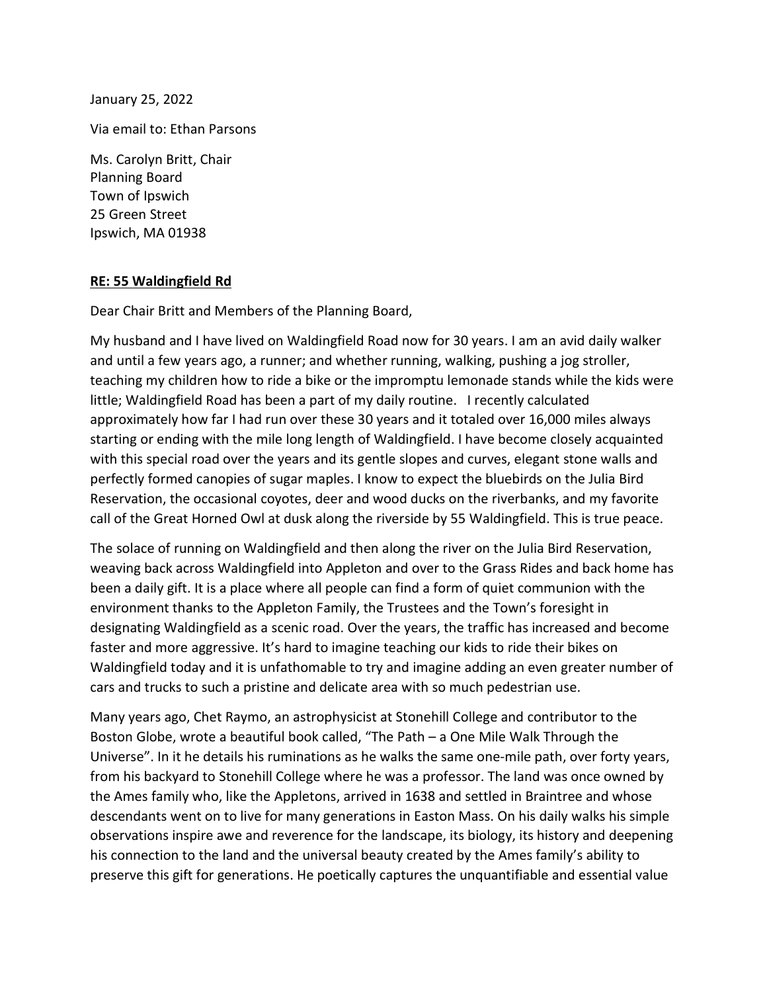January 25, 2022

Via email to: Ethan Parsons

Ms. Carolyn Britt, Chair Planning Board Town of Ipswich 25 Green Street Ipswich, MA 01938

## RE: 55 Waldingfield Rd

Dear Chair Britt and Members of the Planning Board,

My husband and I have lived on Waldingfield Road now for 30 years. I am an avid daily walker and until a few years ago, a runner; and whether running, walking, pushing a jog stroller, teaching my children how to ride a bike or the impromptu lemonade stands while the kids were little; Waldingfield Road has been a part of my daily routine. I recently calculated approximately how far I had run over these 30 years and it totaled over 16,000 miles always starting or ending with the mile long length of Waldingfield. I have become closely acquainted with this special road over the years and its gentle slopes and curves, elegant stone walls and perfectly formed canopies of sugar maples. I know to expect the bluebirds on the Julia Bird Reservation, the occasional coyotes, deer and wood ducks on the riverbanks, and my favorite call of the Great Horned Owl at dusk along the riverside by 55 Waldingfield. This is true peace.

The solace of running on Waldingfield and then along the river on the Julia Bird Reservation, weaving back across Waldingfield into Appleton and over to the Grass Rides and back home has been a daily gift. It is a place where all people can find a form of quiet communion with the environment thanks to the Appleton Family, the Trustees and the Town's foresight in designating Waldingfield as a scenic road. Over the years, the traffic has increased and become faster and more aggressive. It's hard to imagine teaching our kids to ride their bikes on Waldingfield today and it is unfathomable to try and imagine adding an even greater number of cars and trucks to such a pristine and delicate area with so much pedestrian use.

Many years ago, Chet Raymo, an astrophysicist at Stonehill College and contributor to the Boston Globe, wrote a beautiful book called, "The Path – a One Mile Walk Through the Universe". In it he details his ruminations as he walks the same one-mile path, over forty years, from his backyard to Stonehill College where he was a professor. The land was once owned by the Ames family who, like the Appletons, arrived in 1638 and settled in Braintree and whose descendants went on to live for many generations in Easton Mass. On his daily walks his simple observations inspire awe and reverence for the landscape, its biology, its history and deepening his connection to the land and the universal beauty created by the Ames family's ability to preserve this gift for generations. He poetically captures the unquantifiable and essential value